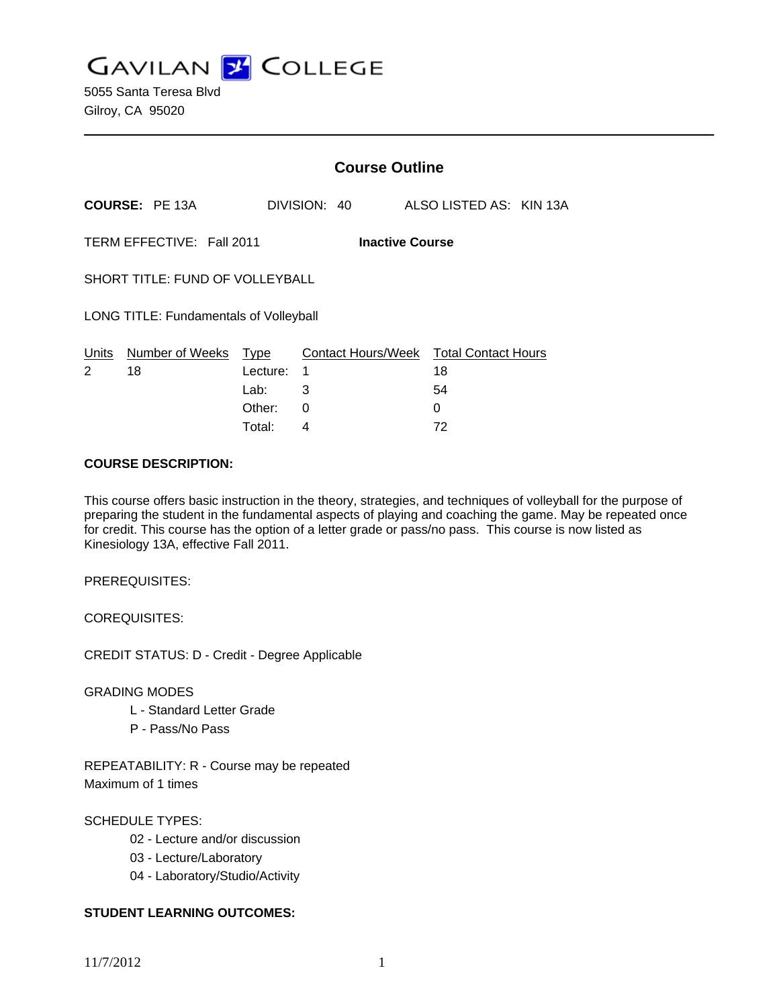**GAVILAN Z COLLEGE** 

|                                                     |                       | <b>Course Outline</b> |                                             |              |    |                         |  |
|-----------------------------------------------------|-----------------------|-----------------------|---------------------------------------------|--------------|----|-------------------------|--|
|                                                     | <b>COURSE: PE 13A</b> |                       |                                             | DIVISION: 40 |    | ALSO LISTED AS: KIN 13A |  |
| TERM EFFECTIVE: Fall 2011<br><b>Inactive Course</b> |                       |                       |                                             |              |    |                         |  |
| SHORT TITLE: FUND OF VOLLEYBALL                     |                       |                       |                                             |              |    |                         |  |
| <b>LONG TITLE: Fundamentals of Volleyball</b>       |                       |                       |                                             |              |    |                         |  |
| Number of Weeks<br>Units<br>2<br>18                 |                       | Type<br>Lecture:      | Contact Hours/Week Total Contact Hours<br>1 |              | 18 |                         |  |
|                                                     |                       | Lab:                  | 3                                           |              | 54 |                         |  |
|                                                     |                       | Other:                | 0                                           |              | 0  |                         |  |

Total: 4 72

### **COURSE DESCRIPTION:**

This course offers basic instruction in the theory, strategies, and techniques of volleyball for the purpose of preparing the student in the fundamental aspects of playing and coaching the game. May be repeated once for credit. This course has the option of a letter grade or pass/no pass. This course is now listed as Kinesiology 13A, effective Fall 2011.

PREREQUISITES:

COREQUISITES:

CREDIT STATUS: D - Credit - Degree Applicable

GRADING MODES

- L Standard Letter Grade
- P Pass/No Pass

REPEATABILITY: R - Course may be repeated Maximum of 1 times

## SCHEDULE TYPES:

- 02 Lecture and/or discussion
- 03 Lecture/Laboratory
- 04 Laboratory/Studio/Activity

## **STUDENT LEARNING OUTCOMES:**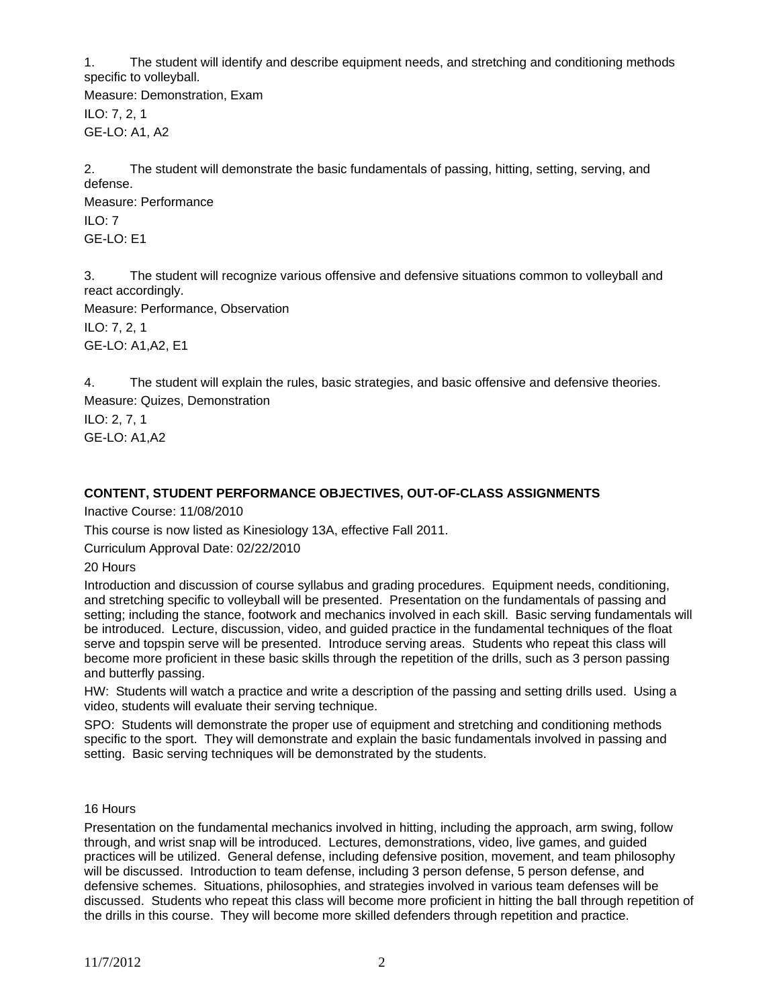1. The student will identify and describe equipment needs, and stretching and conditioning methods specific to volleyball.

Measure: Demonstration, Exam ILO: 7, 2, 1 GE-LO: A1, A2

2. The student will demonstrate the basic fundamentals of passing, hitting, setting, serving, and defense. Measure: Performance

ILO: 7 GE-LO: E1

3. The student will recognize various offensive and defensive situations common to volleyball and react accordingly.

Measure: Performance, Observation ILO: 7, 2, 1 GE-LO: A1,A2, E1

4. The student will explain the rules, basic strategies, and basic offensive and defensive theories. Measure: Quizes, Demonstration

ILO: 2, 7, 1 GE-LO: A1,A2

# **CONTENT, STUDENT PERFORMANCE OBJECTIVES, OUT-OF-CLASS ASSIGNMENTS**

Inactive Course: 11/08/2010

This course is now listed as Kinesiology 13A, effective Fall 2011.

Curriculum Approval Date: 02/22/2010

20 Hours

Introduction and discussion of course syllabus and grading procedures. Equipment needs, conditioning, and stretching specific to volleyball will be presented. Presentation on the fundamentals of passing and setting; including the stance, footwork and mechanics involved in each skill. Basic serving fundamentals will be introduced. Lecture, discussion, video, and guided practice in the fundamental techniques of the float serve and topspin serve will be presented. Introduce serving areas. Students who repeat this class will become more proficient in these basic skills through the repetition of the drills, such as 3 person passing and butterfly passing.

HW: Students will watch a practice and write a description of the passing and setting drills used. Using a video, students will evaluate their serving technique.

SPO: Students will demonstrate the proper use of equipment and stretching and conditioning methods specific to the sport. They will demonstrate and explain the basic fundamentals involved in passing and setting. Basic serving techniques will be demonstrated by the students.

16 Hours

Presentation on the fundamental mechanics involved in hitting, including the approach, arm swing, follow through, and wrist snap will be introduced. Lectures, demonstrations, video, live games, and guided practices will be utilized. General defense, including defensive position, movement, and team philosophy will be discussed. Introduction to team defense, including 3 person defense, 5 person defense, and defensive schemes. Situations, philosophies, and strategies involved in various team defenses will be discussed. Students who repeat this class will become more proficient in hitting the ball through repetition of the drills in this course. They will become more skilled defenders through repetition and practice.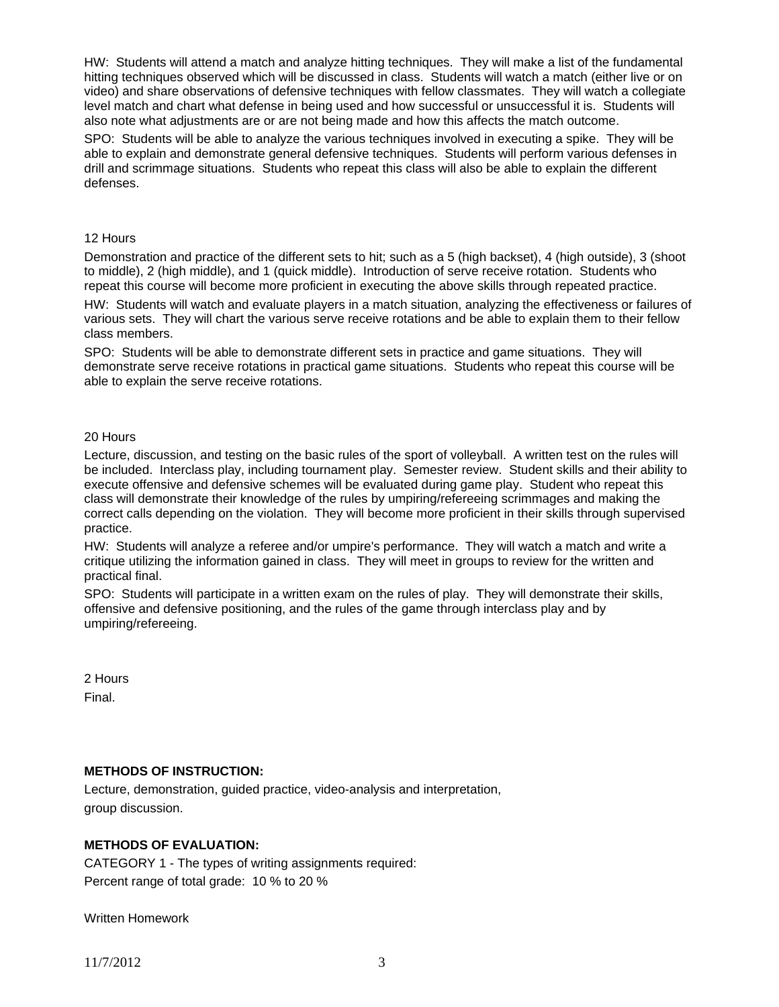HW: Students will attend a match and analyze hitting techniques. They will make a list of the fundamental hitting techniques observed which will be discussed in class. Students will watch a match (either live or on video) and share observations of defensive techniques with fellow classmates. They will watch a collegiate level match and chart what defense in being used and how successful or unsuccessful it is. Students will also note what adjustments are or are not being made and how this affects the match outcome.

SPO: Students will be able to analyze the various techniques involved in executing a spike. They will be able to explain and demonstrate general defensive techniques. Students will perform various defenses in drill and scrimmage situations. Students who repeat this class will also be able to explain the different defenses.

#### 12 Hours

Demonstration and practice of the different sets to hit; such as a 5 (high backset), 4 (high outside), 3 (shoot to middle), 2 (high middle), and 1 (quick middle). Introduction of serve receive rotation. Students who repeat this course will become more proficient in executing the above skills through repeated practice. HW: Students will watch and evaluate players in a match situation, analyzing the effectiveness or failures of various sets. They will chart the various serve receive rotations and be able to explain them to their fellow class members.

SPO: Students will be able to demonstrate different sets in practice and game situations. They will demonstrate serve receive rotations in practical game situations. Students who repeat this course will be able to explain the serve receive rotations.

### 20 Hours

Lecture, discussion, and testing on the basic rules of the sport of volleyball. A written test on the rules will be included. Interclass play, including tournament play. Semester review. Student skills and their ability to execute offensive and defensive schemes will be evaluated during game play. Student who repeat this class will demonstrate their knowledge of the rules by umpiring/refereeing scrimmages and making the correct calls depending on the violation. They will become more proficient in their skills through supervised practice.

HW: Students will analyze a referee and/or umpire's performance. They will watch a match and write a critique utilizing the information gained in class. They will meet in groups to review for the written and practical final.

SPO: Students will participate in a written exam on the rules of play. They will demonstrate their skills, offensive and defensive positioning, and the rules of the game through interclass play and by umpiring/refereeing.

2 Hours Final.

## **METHODS OF INSTRUCTION:**

Lecture, demonstration, guided practice, video-analysis and interpretation, group discussion.

## **METHODS OF EVALUATION:**

CATEGORY 1 - The types of writing assignments required: Percent range of total grade: 10 % to 20 %

Written Homework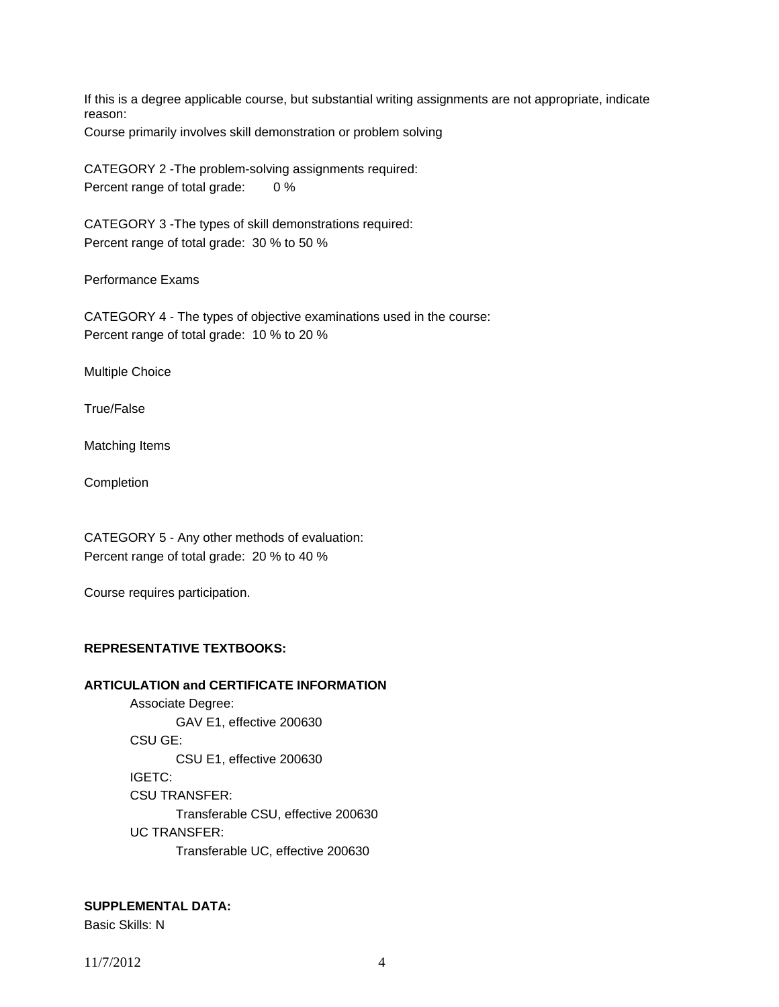If this is a degree applicable course, but substantial writing assignments are not appropriate, indicate reason:

Course primarily involves skill demonstration or problem solving

CATEGORY 2 -The problem-solving assignments required: Percent range of total grade: 0 %

CATEGORY 3 -The types of skill demonstrations required: Percent range of total grade: 30 % to 50 %

Performance Exams

CATEGORY 4 - The types of objective examinations used in the course: Percent range of total grade: 10 % to 20 %

Multiple Choice

True/False

Matching Items

Completion

CATEGORY 5 - Any other methods of evaluation: Percent range of total grade: 20 % to 40 %

Course requires participation.

## **REPRESENTATIVE TEXTBOOKS:**

## **ARTICULATION and CERTIFICATE INFORMATION**

 Associate Degree: GAV E1, effective 200630 CSU GE: CSU E1, effective 200630 IGETC: CSU TRANSFER: Transferable CSU, effective 200630 UC TRANSFER: Transferable UC, effective 200630

**SUPPLEMENTAL DATA:** 

Basic Skills: N

11/7/2012 4